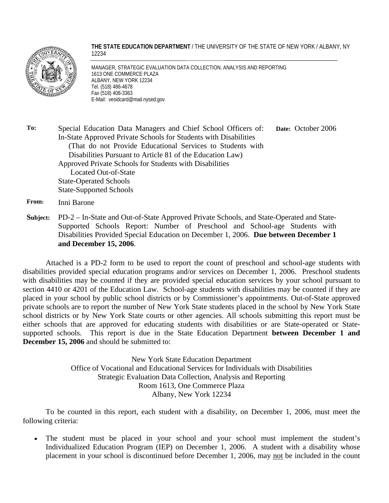

**THE STATE EDUCATION DEPARTMENT** / THE UNIVERSITY OF THE STATE OF NEW YORK / ALBANY, NY 12234

MANAGER, STRATEGIC EVALUATION DATA COLLECTION, ANALYSIS AND REPORTING 1613 ONE COMMERCE PLAZA ALBANY, NEW YORK 12234 Tel. (518) 486-4678 Fax (518) 408-3363 E-Mail: vesidcard@mail.nysed.gov

**To:** Special Education Data Managers and Chief School Officers of: In-State Approved Private Schools for Students with Disabilities (That do not Provide Educational Services to Students with Disabilities Pursuant to Article 81 of the Education Law) Approved Private Schools for Students with Disabilities Located Out-of-State State-Operated Schools State-Supported Schools **Date:** October 2006

**From:** Inni Barone

**Subject:** PD-2 – In-State and Out-of-State Approved Private Schools, and State-Operated and State-Supported Schools Report: Number of Preschool and School-age Students with Disabilities Provided Special Education on December 1, 2006. **Due between December 1 and December 15, 2006**.

Attached is a PD-2 form to be used to report the count of preschool and school-age students with disabilities provided special education programs and/or services on December 1, 2006. Preschool students with disabilities may be counted if they are provided special education services by your school pursuant to section 4410 or 4201 of the Education Law. School-age students with disabilities may be counted if they are placed in your school by public school districts or by Commissioner's appointments. Out-of-State approved private schools are to report the number of New York State students placed in the school by New York State school districts or by New York State courts or other agencies. All schools submitting this report must be either schools that are approved for educating students with disabilities or are State-operated or Statesupported schools. This report is due in the State Education Department **between December 1 and December 15, 2006** and should be submitted to:

> New York State Education Department Office of Vocational and Educational Services for Individuals with Disabilities Strategic Evaluation Data Collection, Analysis and Reporting Room 1613, One Commerce Plaza Albany, New York 12234

To be counted in this report, each student with a disability, on December 1, 2006, must meet the following criteria:

The student must be placed in your school and your school must implement the student's Individualized Education Program (IEP) on December 1, 2006. A student with a disability whose placement in your school is discontinued before December 1, 2006, may not be included in the count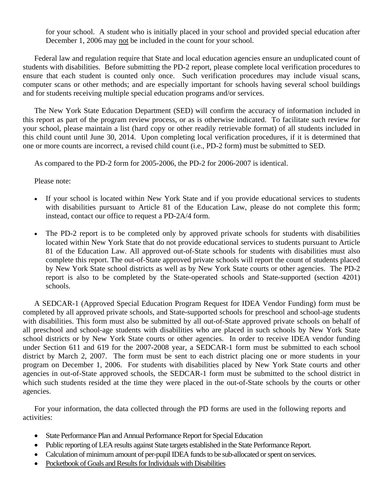for your school. A student who is initially placed in your school and provided special education after December 1, 2006 may not be included in the count for your school.

Federal law and regulation require that State and local education agencies ensure an unduplicated count of students with disabilities. Before submitting the PD-2 report, please complete local verification procedures to ensure that each student is counted only once. Such verification procedures may include visual scans, computer scans or other methods; and are especially important for schools having several school buildings and for students receiving multiple special education programs and/or services.

The New York State Education Department (SED) will confirm the accuracy of information included in this report as part of the program review process, or as is otherwise indicated. To facilitate such review for your school, please maintain a list (hard copy or other readily retrievable format) of all students included in this child count until June 30, 2014. Upon completing local verification procedures, if it is determined that one or more counts are incorrect, a revised child count (i.e., PD-2 form) must be submitted to SED.

As compared to the PD-2 form for 2005-2006, the PD-2 for 2006-2007 is identical.

Please note:

- If your school is located within New York State and if you provide educational services to students with disabilities pursuant to Article 81 of the Education Law, please do not complete this form; instead, contact our office to request a PD-2A/4 form.
- The PD-2 report is to be completed only by approved private schools for students with disabilities located within New York State that do not provide educational services to students pursuant to Article 81 of the Education Law. All approved out-of-State schools for students with disabilities must also complete this report. The out-of-State approved private schools will report the count of students placed by New York State school districts as well as by New York State courts or other agencies. The PD-2 report is also to be completed by the State-operated schools and State-supported (section 4201) schools.

A SEDCAR-1 (Approved Special Education Program Request for IDEA Vendor Funding) form must be completed by all approved private schools, and State-supported schools for preschool and school-age students with disabilities. This form must also be submitted by all out-of-State approved private schools on behalf of all preschool and school-age students with disabilities who are placed in such schools by New York State school districts or by New York State courts or other agencies. In order to receive IDEA vendor funding under Section 611 and 619 for the 2007-2008 year, a SEDCAR-1 form must be submitted to each school district by March 2, 2007. The form must be sent to each district placing one or more students in your program on December 1, 2006. For students with disabilities placed by New York State courts and other agencies in out-of-State approved schools, the SEDCAR-1 form must be submitted to the school district in which such students resided at the time they were placed in the out-of-State schools by the courts or other agencies.

For your information, the data collected through the PD forms are used in the following reports and activities:

- State Performance Plan and Annual Performance Report for Special Education
- Public reporting of LEA results against State targets established in the State Performance Report.
- Calculation of minimum amount of per-pupil IDEA funds to be sub-allocated or spent on services.
- Pocketbook of Goals and Results for Individuals with Disabilities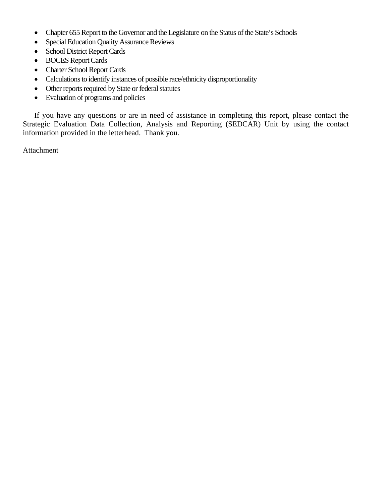- Chapter 655 Report to the Governor and the Legislature on the Status of the State's Schools
- Special Education Quality Assurance Reviews
- School District Report Cards
- BOCES Report Cards
- Charter School Report Cards
- Calculations to identify instances of possible race/ethnicity disproportionality
- Other reports required by State or federal statutes
- Evaluation of programs and policies

If you have any questions or are in need of assistance in completing this report, please contact the Strategic Evaluation Data Collection, Analysis and Reporting (SEDCAR) Unit by using the contact information provided in the letterhead. Thank you.

Attachment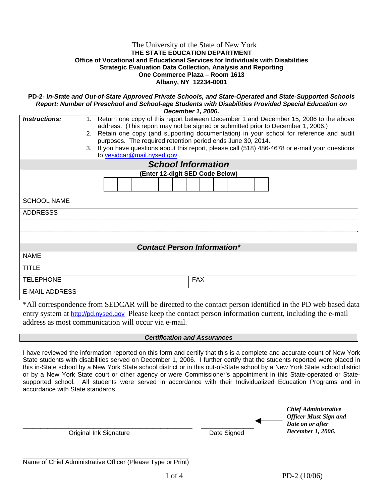#### The University of the State of New York **THE STATE EDUCATION DEPARTMENT Office of Vocational and Educational Services for Individuals with Disabilities Strategic Evaluation Data Collection, Analysis and Reporting One Commerce Plaza – Room 1613 Albany, NY 12234-0001**

**PD-2-** *In-State and Out-of-State Approved Private Schools, and State-Operated and State-Supported Schools Report: Number of Preschool and School-age Students with Disabilities Provided Special Education on* 

| December 1, 2006.                  |                                                                                                 |  |  |  |
|------------------------------------|-------------------------------------------------------------------------------------------------|--|--|--|
| Instructions:                      | 1. Return one copy of this report between December 1 and December 15, 2006 to the above         |  |  |  |
|                                    | address. (This report may not be signed or submitted prior to December 1, 2006.)                |  |  |  |
|                                    | 2. Retain one copy (and supporting documentation) in your school for reference and audit        |  |  |  |
|                                    | purposes. The required retention period ends June 30, 2014.                                     |  |  |  |
|                                    | 3. If you have questions about this report, please call (518) 486-4678 or e-mail your questions |  |  |  |
|                                    | to vesidcar@mail.nysed.gov                                                                      |  |  |  |
|                                    | <b>School Information</b>                                                                       |  |  |  |
|                                    | (Enter 12-digit SED Code Below)                                                                 |  |  |  |
|                                    |                                                                                                 |  |  |  |
|                                    |                                                                                                 |  |  |  |
| <b>SCHOOL NAME</b>                 |                                                                                                 |  |  |  |
|                                    |                                                                                                 |  |  |  |
| <b>ADDRESSS</b>                    |                                                                                                 |  |  |  |
|                                    |                                                                                                 |  |  |  |
|                                    |                                                                                                 |  |  |  |
|                                    |                                                                                                 |  |  |  |
| <b>Contact Person Information*</b> |                                                                                                 |  |  |  |
| <b>NAME</b>                        |                                                                                                 |  |  |  |
| <b>TITLE</b>                       |                                                                                                 |  |  |  |
|                                    |                                                                                                 |  |  |  |
| <b>TELEPHONE</b>                   | <b>FAX</b>                                                                                      |  |  |  |
| E-MAIL ADDRESS                     |                                                                                                 |  |  |  |
|                                    |                                                                                                 |  |  |  |

\*All correspondence from SEDCAR will be directed to the contact person identified in the PD web based data entry system at http://pd.nysed.gov Please keep the contact person information current, including the e-mail address as most communication will occur via e-mail.

#### *Certification and Assurances*

I have reviewed the information reported on this form and certify that this is a complete and accurate count of New York State students with disabilities served on December 1, 2006. I further certify that the students reported were placed in this in-State school by a New York State school district or in this out-of-State school by a New York State school district or by a New York State court or other agency or were Commissioner's appointment in this State-operated or Statesupported school. All students were served in accordance with their Individualized Education Programs and in accordance with State standards.

\_\_\_\_\_\_\_\_\_\_\_\_\_\_\_\_\_\_\_\_\_\_\_\_\_\_\_\_\_\_\_\_\_\_\_\_\_\_\_\_\_\_\_\_\_\_\_\_ \_\_\_\_\_\_\_\_\_\_\_\_\_\_\_ Original Ink Signature **Date Signed** Date Signed *Chief Administrative Officer Must Sign and Date on or after December 1, 2006.*

| Name of Chief Administrative Officer (Please Type or Print) |  |  |
|-------------------------------------------------------------|--|--|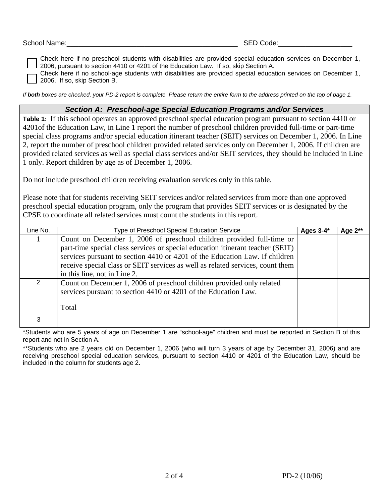| School Name: | $- -$<br>code.<br>. J L<br>- L<br>__ |
|--------------|--------------------------------------|
|              |                                      |

Check here if no preschool students with disabilities are provided special education services on December 1, 2006, pursuant to section 4410 or 4201 of the Education Law. If so, skip Section A.

Check here if no school-age students with disabilities are provided special education services on December 1, 2006. If so, skip Section B.

*If both boxes are checked, your PD-2 report is complete. Please return the entire form to the address printed on the top of page 1.* 

### *Section A: Preschool-age Special Education Programs and/or Services*

**Table 1:** If this school operates an approved preschool special education program pursuant to section 4410 or 4201of the Education Law, in Line 1 report the number of preschool children provided full-time or part-time special class programs and/or special education itinerant teacher (SEIT) services on December 1, 2006. In Line 2, report the number of preschool children provided related services only on December 1, 2006. If children are provided related services as well as special class services and/or SEIT services, they should be included in Line 1 only. Report children by age as of December 1, 2006.

Do not include preschool children receiving evaluation services only in this table.

Please note that for students receiving SEIT services and/or related services from more than one approved preschool special education program, only the program that provides SEIT services or is designated by the CPSE to coordinate all related services must count the students in this report.

| Line No. | Type of Preschool Special Education Service                                                                                                                                                                                                                                                                                                              | Ages $3-4*$ | Age 2** |
|----------|----------------------------------------------------------------------------------------------------------------------------------------------------------------------------------------------------------------------------------------------------------------------------------------------------------------------------------------------------------|-------------|---------|
|          | Count on December 1, 2006 of preschool children provided full-time or<br>part-time special class services or special education itinerant teacher (SEIT)<br>services pursuant to section 4410 or 4201 of the Education Law. If children<br>receive special class or SEIT services as well as related services, count them<br>in this line, not in Line 2. |             |         |
|          | Count on December 1, 2006 of preschool children provided only related<br>services pursuant to section 4410 or 4201 of the Education Law.                                                                                                                                                                                                                 |             |         |
|          | Total                                                                                                                                                                                                                                                                                                                                                    |             |         |
| 3        |                                                                                                                                                                                                                                                                                                                                                          |             |         |

\*Students who are 5 years of age on December 1 are "school-age" children and must be reported in Section B of this report and not in Section A.

\*\*Students who are 2 years old on December 1, 2006 (who will turn 3 years of age by December 31, 2006) and are receiving preschool special education services, pursuant to section 4410 or 4201 of the Education Law, should be included in the column for students age 2.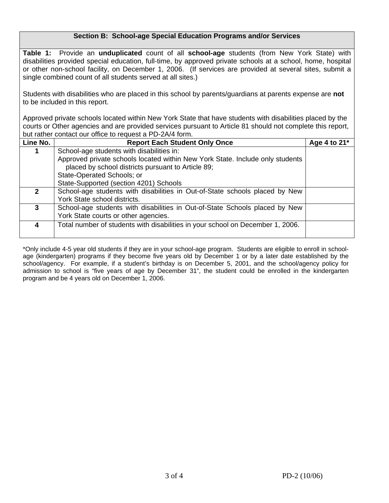## **Section B: School-age Special Education Programs and/or Services**

**Table 1:** Provide an **unduplicated** count of all **school-age** students (from New York State) with disabilities provided special education, full-time, by approved private schools at a school, home, hospital or other non-school facility, on December 1, 2006. (If services are provided at several sites, submit a single combined count of all students served at all sites.)

Students with disabilities who are placed in this school by parents/guardians at parents expense are **not** to be included in this report.

Approved private schools located within New York State that have students with disabilities placed by the courts or Other agencies and are provided services pursuant to Article 81 should not complete this report, but rather contact our office to request a PD-2A/4 form.

| Line No.     | <b>Report Each Student Only Once</b>                                           | Age 4 to 21* |  |  |  |
|--------------|--------------------------------------------------------------------------------|--------------|--|--|--|
|              | School-age students with disabilities in:                                      |              |  |  |  |
|              | Approved private schools located within New York State. Include only students  |              |  |  |  |
|              | placed by school districts pursuant to Article 89;                             |              |  |  |  |
|              | State-Operated Schools; or                                                     |              |  |  |  |
|              | State-Supported (section 4201) Schools                                         |              |  |  |  |
| $\mathbf{2}$ | School-age students with disabilities in Out-of-State schools placed by New    |              |  |  |  |
|              | York State school districts.                                                   |              |  |  |  |
| 3            | School-age students with disabilities in Out-of-State Schools placed by New    |              |  |  |  |
|              | York State courts or other agencies.                                           |              |  |  |  |
| 4            | Total number of students with disabilities in your school on December 1, 2006. |              |  |  |  |
|              |                                                                                |              |  |  |  |

\*Only include 4-5 year old students if they are in your school-age program. Students are eligible to enroll in schoolage (kindergarten) programs if they become five years old by December 1 or by a later date established by the school/agency. For example, if a student's birthday is on December 5, 2001, and the school/agency policy for admission to school is "five years of age by December 31", the student could be enrolled in the kindergarten program and be 4 years old on December 1, 2006.